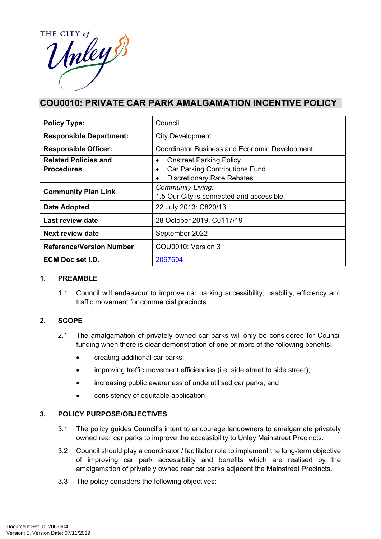

# **COU0010: PRIVATE CAR PARK AMALGAMATION INCENTIVE POLICY**

| <b>Policy Type:</b>             | Council                                              |  |
|---------------------------------|------------------------------------------------------|--|
| <b>Responsible Department:</b>  | <b>City Development</b>                              |  |
| <b>Responsible Officer:</b>     | <b>Coordinator Business and Economic Development</b> |  |
| <b>Related Policies and</b>     | <b>Onstreet Parking Policy</b>                       |  |
| <b>Procedures</b>               | Car Parking Contributions Fund                       |  |
|                                 | <b>Discretionary Rate Rebates</b>                    |  |
| <b>Community Plan Link</b>      | <b>Community Living:</b>                             |  |
|                                 | 1.5 Our City is connected and accessible.            |  |
| Date Adopted                    | 22 July 2013: C820/13                                |  |
| Last review date                | 28 October 2019: C0117/19                            |  |
| <b>Next review date</b>         | September 2022                                       |  |
| <b>Reference/Version Number</b> | COU0010: Version 3                                   |  |
| ECM Doc set I.D.                | 2067604                                              |  |

#### **1. PREAMBLE**

1.1 Council will endeavour to improve car parking accessibility, usability, efficiency and traffic movement for commercial precincts.

### **2. SCOPE**

- 2.1 The amalgamation of privately owned car parks will only be considered for Council funding when there is clear demonstration of one or more of the following benefits:
	- creating additional car parks;
	- improving traffic movement efficiencies (i.e. side street to side street);
	- increasing public awareness of underutilised car parks; and
	- consistency of equitable application

### **3. POLICY PURPOSE/OBJECTIVES**

- 3.1 The policy guides Council's intent to encourage landowners to amalgamate privately owned rear car parks to improve the accessibility to Unley Mainstreet Precincts.
- 3.2 Council should play a coordinator / facilitator role to implement the long-term objective of improving car park accessibility and benefits which are realised by the amalgamation of privately owned rear car parks adjacent the Mainstreet Precincts.
- 3.3 The policy considers the following objectives: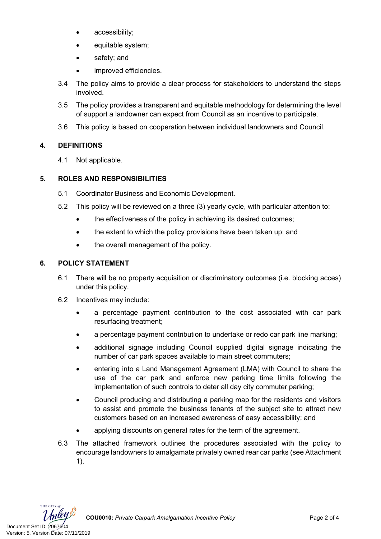- accessibility:
- equitable system;
- safety; and
- improved efficiencies.
- 3.4 The policy aims to provide a clear process for stakeholders to understand the steps involved.
- 3.5 The policy provides a transparent and equitable methodology for determining the level of support a landowner can expect from Council as an incentive to participate.
- 3.6 This policy is based on cooperation between individual landowners and Council.

### **4. DEFINITIONS**

4.1 Not applicable.

### **5. ROLES AND RESPONSIBILITIES**

- 5.1 Coordinator Business and Economic Development.
- 5.2 This policy will be reviewed on a three (3) yearly cycle, with particular attention to:
	- the effectiveness of the policy in achieving its desired outcomes;
	- the extent to which the policy provisions have been taken up; and
	- the overall management of the policy.

### **6. POLICY STATEMENT**

- 6.1 There will be no property acquisition or discriminatory outcomes (i.e. blocking acces) under this policy.
- 6.2 Incentives may include:
	- a percentage payment contribution to the cost associated with car park resurfacing treatment;
	- a percentage payment contribution to undertake or redo car park line marking;
	- additional signage including Council supplied digital signage indicating the number of car park spaces available to main street commuters;
	- entering into a Land Management Agreement (LMA) with Council to share the use of the car park and enforce new parking time limits following the implementation of such controls to deter all day city commuter parking;
	- Council producing and distributing a parking map for the residents and visitors to assist and promote the business tenants of the subject site to attract new customers based on an increased awareness of easy accessibility; and
	- applying discounts on general rates for the term of the agreement.
- 6.3 The attached framework outlines the procedures associated with the policy to encourage landowners to amalgamate privately owned rear car parks (see Attachment 1).



THE CITY of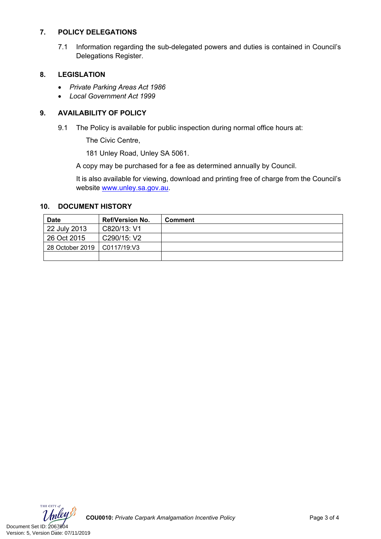#### **7. POLICY DELEGATIONS**

7.1 Information regarding the sub-delegated powers and duties is contained in Council's Delegations Register.

#### **8. LEGISLATION**

- *Private Parking Areas Act 1986*
- *Local Government Act 1999*

#### **9. AVAILABILITY OF POLICY**

9.1 The Policy is available for public inspection during normal office hours at:

The Civic Centre,

181 Unley Road, Unley SA 5061.

A copy may be purchased for a fee as determined annually by Council.

It is also available for viewing, download and printing free of charge from the Council's website [www.unley.sa.gov.au](file:///C:/Users/DBrown/AppData/Local/Microsoft/Windows/INetCache/Content.Outlook/O5LOQVBP/www.unley.sa.gov.au).

#### **10. DOCUMENT HISTORY**

| <b>Date</b>     | <b>Ref/Version No.</b> | <b>Comment</b> |
|-----------------|------------------------|----------------|
| 22 July 2013    | C820/13: V1            |                |
| 26 Oct 2015     | C290/15: V2            |                |
| 28 October 2019 | C0117/19:V3            |                |
|                 |                        |                |